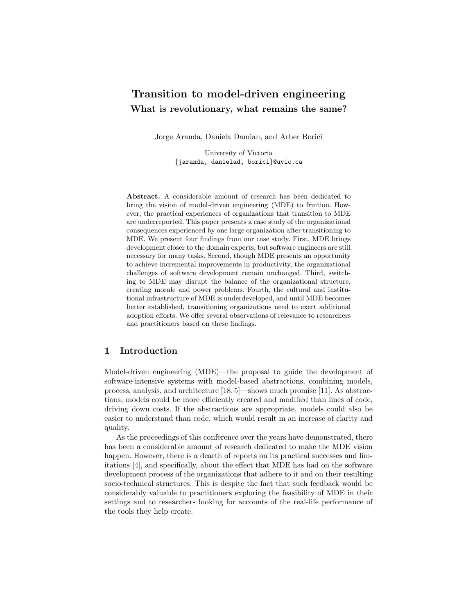# Transition to model-driven engineering What is revolutionary, what remains the same?

Jorge Aranda, Daniela Damian, and Arber Borici

University of Victoria {jaranda, danielad, borici}@uvic.ca

Abstract. A considerable amount of research has been dedicated to bring the vision of model-driven engineering (MDE) to fruition. However, the practical experiences of organizations that transition to MDE are underreported. This paper presents a case study of the organizational consequences experienced by one large organization after transitioning to MDE. We present four findings from our case study. First, MDE brings development closer to the domain experts, but software engineers are still necessary for many tasks. Second, though MDE presents an opportunity to achieve incremental improvements in productivity, the organizational challenges of software development remain unchanged. Third, switching to MDE may disrupt the balance of the organizational structure, creating morale and power problems. Fourth, the cultural and institutional infrastructure of MDE is underdeveloped, and until MDE becomes better established, transitioning organizations need to exert additional adoption efforts. We offer several observations of relevance to researchers and practitioners based on these findings.

# 1 Introduction

Model-driven engineering (MDE)—the proposal to guide the development of software-intensive systems with model-based abstractions, combining models, process, analysis, and architecture [18, 5]—shows much promise [11]. As abstractions, models could be more efficiently created and modified than lines of code, driving down costs. If the abstractions are appropriate, models could also be easier to understand than code, which would result in an increase of clarity and quality.

As the proceedings of this conference over the years have demonstrated, there has been a considerable amount of research dedicated to make the MDE vision happen. However, there is a dearth of reports on its practical successes and limitations [4], and specifically, about the effect that MDE has had on the software development process of the organizations that adhere to it and on their resulting socio-technical structures. This is despite the fact that such feedback would be considerably valuable to practitioners exploring the feasibility of MDE in their settings and to researchers looking for accounts of the real-life performance of the tools they help create.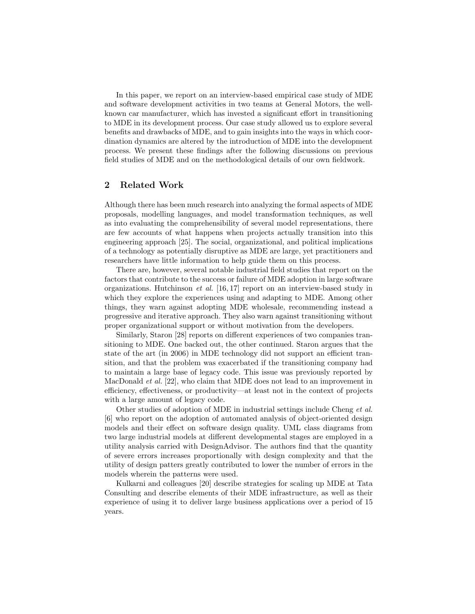In this paper, we report on an interview-based empirical case study of MDE and software development activities in two teams at General Motors, the wellknown car manufacturer, which has invested a significant effort in transitioning to MDE in its development process. Our case study allowed us to explore several benefits and drawbacks of MDE, and to gain insights into the ways in which coordination dynamics are altered by the introduction of MDE into the development process. We present these findings after the following discussions on previous field studies of MDE and on the methodological details of our own fieldwork.

# 2 Related Work

Although there has been much research into analyzing the formal aspects of MDE proposals, modelling languages, and model transformation techniques, as well as into evaluating the comprehensibility of several model representations, there are few accounts of what happens when projects actually transition into this engineering approach [25]. The social, organizational, and political implications of a technology as potentially disruptive as MDE are large, yet practitioners and researchers have little information to help guide them on this process.

There are, however, several notable industrial field studies that report on the factors that contribute to the success or failure of MDE adoption in large software organizations. Hutchinson et al. [16, 17] report on an interview-based study in which they explore the experiences using and adapting to MDE. Among other things, they warn against adopting MDE wholesale, recommending instead a progressive and iterative approach. They also warn against transitioning without proper organizational support or without motivation from the developers.

Similarly, Staron [28] reports on different experiences of two companies transitioning to MDE. One backed out, the other continued. Staron argues that the state of the art (in 2006) in MDE technology did not support an efficient transition, and that the problem was exacerbated if the transitioning company had to maintain a large base of legacy code. This issue was previously reported by MacDonald *et al.* [22], who claim that MDE does not lead to an improvement in efficiency, effectiveness, or productivity—at least not in the context of projects with a large amount of legacy code.

Other studies of adoption of MDE in industrial settings include Cheng et al. [6] who report on the adoption of automated analysis of object-oriented design models and their effect on software design quality. UML class diagrams from two large industrial models at different developmental stages are employed in a utility analysis carried with DesignAdvisor. The authors find that the quantity of severe errors increases proportionally with design complexity and that the utility of design patters greatly contributed to lower the number of errors in the models wherein the patterns were used.

Kulkarni and colleagues [20] describe strategies for scaling up MDE at Tata Consulting and describe elements of their MDE infrastructure, as well as their experience of using it to deliver large business applications over a period of 15 years.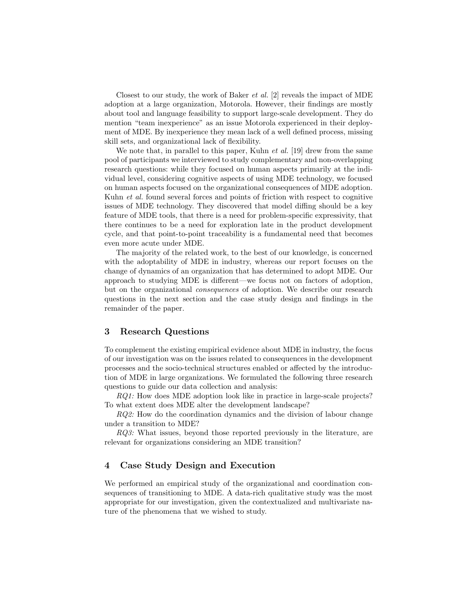Closest to our study, the work of Baker *et al.* [2] reveals the impact of MDE adoption at a large organization, Motorola. However, their findings are mostly about tool and language feasibility to support large-scale development. They do mention "team inexperience" as an issue Motorola experienced in their deployment of MDE. By inexperience they mean lack of a well defined process, missing skill sets, and organizational lack of flexibility.

We note that, in parallel to this paper, Kuhn  $et \, al.$  [19] drew from the same pool of participants we interviewed to study complementary and non-overlapping research questions: while they focused on human aspects primarily at the individual level, considering cognitive aspects of using MDE technology, we focused on human aspects focused on the organizational consequences of MDE adoption. Kuhn et al. found several forces and points of friction with respect to cognitive issues of MDE technology. They discovered that model diffing should be a key feature of MDE tools, that there is a need for problem-specific expressivity, that there continues to be a need for exploration late in the product development cycle, and that point-to-point traceability is a fundamental need that becomes even more acute under MDE.

The majority of the related work, to the best of our knowledge, is concerned with the adoptability of MDE in industry, whereas our report focuses on the change of dynamics of an organization that has determined to adopt MDE. Our approach to studying MDE is different—we focus not on factors of adoption, but on the organizational consequences of adoption. We describe our research questions in the next section and the case study design and findings in the remainder of the paper.

# 3 Research Questions

To complement the existing empirical evidence about MDE in industry, the focus of our investigation was on the issues related to consequences in the development processes and the socio-technical structures enabled or affected by the introduction of MDE in large organizations. We formulated the following three research questions to guide our data collection and analysis:

RQ1: How does MDE adoption look like in practice in large-scale projects? To what extent does MDE alter the development landscape?

RQ2: How do the coordination dynamics and the division of labour change under a transition to MDE?

RQ3: What issues, beyond those reported previously in the literature, are relevant for organizations considering an MDE transition?

# 4 Case Study Design and Execution

We performed an empirical study of the organizational and coordination consequences of transitioning to MDE. A data-rich qualitative study was the most appropriate for our investigation, given the contextualized and multivariate nature of the phenomena that we wished to study.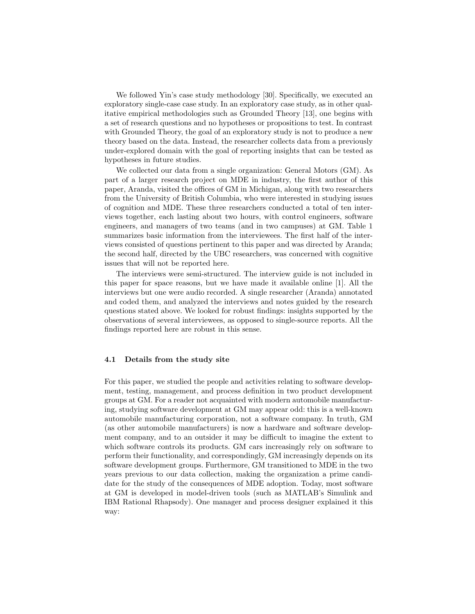We followed Yin's case study methodology [30]. Specifically, we executed an exploratory single-case case study. In an exploratory case study, as in other qualitative empirical methodologies such as Grounded Theory [13], one begins with a set of research questions and no hypotheses or propositions to test. In contrast with Grounded Theory, the goal of an exploratory study is not to produce a new theory based on the data. Instead, the researcher collects data from a previously under-explored domain with the goal of reporting insights that can be tested as hypotheses in future studies.

We collected our data from a single organization: General Motors (GM). As part of a larger research project on MDE in industry, the first author of this paper, Aranda, visited the offices of GM in Michigan, along with two researchers from the University of British Columbia, who were interested in studying issues of cognition and MDE. These three researchers conducted a total of ten interviews together, each lasting about two hours, with control engineers, software engineers, and managers of two teams (and in two campuses) at GM. Table 1 summarizes basic information from the interviewees. The first half of the interviews consisted of questions pertinent to this paper and was directed by Aranda; the second half, directed by the UBC researchers, was concerned with cognitive issues that will not be reported here.

The interviews were semi-structured. The interview guide is not included in this paper for space reasons, but we have made it available online [1]. All the interviews but one were audio recorded. A single researcher (Aranda) annotated and coded them, and analyzed the interviews and notes guided by the research questions stated above. We looked for robust findings: insights supported by the observations of several interviewees, as opposed to single-source reports. All the findings reported here are robust in this sense.

### 4.1 Details from the study site

For this paper, we studied the people and activities relating to software development, testing, management, and process definition in two product development groups at GM. For a reader not acquainted with modern automobile manufacturing, studying software development at GM may appear odd: this is a well-known automobile manufacturing corporation, not a software company. In truth, GM (as other automobile manufacturers) is now a hardware and software development company, and to an outsider it may be difficult to imagine the extent to which software controls its products. GM cars increasingly rely on software to perform their functionality, and correspondingly, GM increasingly depends on its software development groups. Furthermore, GM transitioned to MDE in the two years previous to our data collection, making the organization a prime candidate for the study of the consequences of MDE adoption. Today, most software at GM is developed in model-driven tools (such as MATLAB's Simulink and IBM Rational Rhapsody). One manager and process designer explained it this way: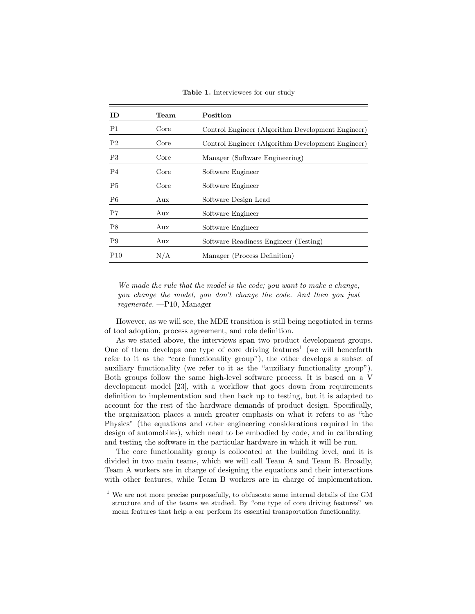Table 1. Interviewees for our study

| ID.            | Team | Position                                          |
|----------------|------|---------------------------------------------------|
| P1             | Core | Control Engineer (Algorithm Development Engineer) |
| P <sub>2</sub> | Core | Control Engineer (Algorithm Development Engineer) |
| P3             | Core | Manager (Software Engineering)                    |
| P4             | Core | Software Engineer                                 |
| P <sub>5</sub> | Core | Software Engineer                                 |
| P <sub>6</sub> | Aux  | Software Design Lead                              |
| P7             | Aux  | Software Engineer                                 |
| P8             | Aux  | Software Engineer                                 |
| P <sub>9</sub> | Aux  | Software Readiness Engineer (Testing)             |
| P10            | N/A  | Manager (Process Definition)                      |

We made the rule that the model is the code; you want to make a change, you change the model, you don't change the code. And then you just regenerate. —P10, Manager

However, as we will see, the MDE transition is still being negotiated in terms of tool adoption, process agreement, and role definition.

As we stated above, the interviews span two product development groups. One of them develops one type of core driving features<sup>1</sup> (we will henceforth refer to it as the "core functionality group"), the other develops a subset of auxiliary functionality (we refer to it as the "auxiliary functionality group"). Both groups follow the same high-level software process. It is based on a V development model [23], with a workflow that goes down from requirements definition to implementation and then back up to testing, but it is adapted to account for the rest of the hardware demands of product design. Specifically, the organization places a much greater emphasis on what it refers to as "the Physics" (the equations and other engineering considerations required in the design of automobiles), which need to be embodied by code, and in calibrating and testing the software in the particular hardware in which it will be run.

The core functionality group is collocated at the building level, and it is divided in two main teams, which we will call Team A and Team B. Broadly, Team A workers are in charge of designing the equations and their interactions with other features, while Team B workers are in charge of implementation.

 $^{\rm 1}$  We are not more precise purposefully, to obfuscate some internal details of the GM structure and of the teams we studied. By "one type of core driving features" we mean features that help a car perform its essential transportation functionality.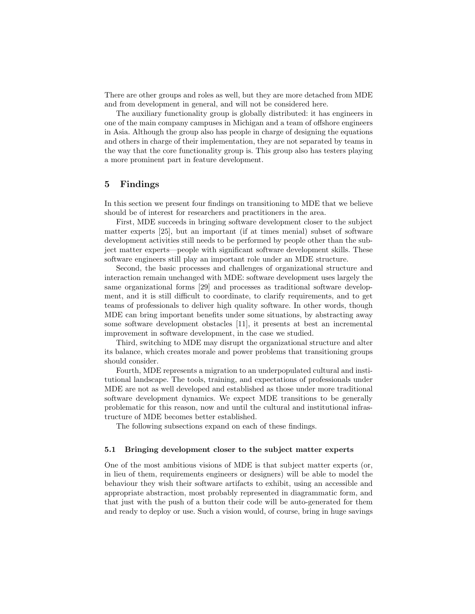There are other groups and roles as well, but they are more detached from MDE and from development in general, and will not be considered here.

The auxiliary functionality group is globally distributed: it has engineers in one of the main company campuses in Michigan and a team of offshore engineers in Asia. Although the group also has people in charge of designing the equations and others in charge of their implementation, they are not separated by teams in the way that the core functionality group is. This group also has testers playing a more prominent part in feature development.

### 5 Findings

In this section we present four findings on transitioning to MDE that we believe should be of interest for researchers and practitioners in the area.

First, MDE succeeds in bringing software development closer to the subject matter experts [25], but an important (if at times menial) subset of software development activities still needs to be performed by people other than the subject matter experts—people with significant software development skills. These software engineers still play an important role under an MDE structure.

Second, the basic processes and challenges of organizational structure and interaction remain unchanged with MDE: software development uses largely the same organizational forms [29] and processes as traditional software development, and it is still difficult to coordinate, to clarify requirements, and to get teams of professionals to deliver high quality software. In other words, though MDE can bring important benefits under some situations, by abstracting away some software development obstacles [11], it presents at best an incremental improvement in software development, in the case we studied.

Third, switching to MDE may disrupt the organizational structure and alter its balance, which creates morale and power problems that transitioning groups should consider.

Fourth, MDE represents a migration to an underpopulated cultural and institutional landscape. The tools, training, and expectations of professionals under MDE are not as well developed and established as those under more traditional software development dynamics. We expect MDE transitions to be generally problematic for this reason, now and until the cultural and institutional infrastructure of MDE becomes better established.

The following subsections expand on each of these findings.

#### 5.1 Bringing development closer to the subject matter experts

One of the most ambitious visions of MDE is that subject matter experts (or, in lieu of them, requirements engineers or designers) will be able to model the behaviour they wish their software artifacts to exhibit, using an accessible and appropriate abstraction, most probably represented in diagrammatic form, and that just with the push of a button their code will be auto-generated for them and ready to deploy or use. Such a vision would, of course, bring in huge savings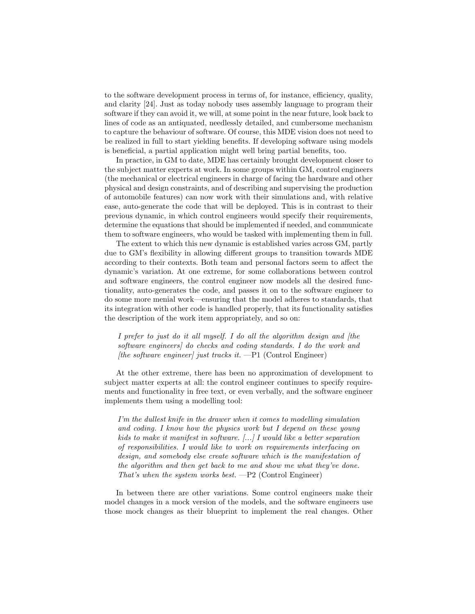to the software development process in terms of, for instance, efficiency, quality, and clarity [24]. Just as today nobody uses assembly language to program their software if they can avoid it, we will, at some point in the near future, look back to lines of code as an antiquated, needlessly detailed, and cumbersome mechanism to capture the behaviour of software. Of course, this MDE vision does not need to be realized in full to start yielding benefits. If developing software using models is beneficial, a partial application might well bring partial benefits, too.

In practice, in GM to date, MDE has certainly brought development closer to the subject matter experts at work. In some groups within GM, control engineers (the mechanical or electrical engineers in charge of facing the hardware and other physical and design constraints, and of describing and supervising the production of automobile features) can now work with their simulations and, with relative ease, auto-generate the code that will be deployed. This is in contrast to their previous dynamic, in which control engineers would specify their requirements, determine the equations that should be implemented if needed, and communicate them to software engineers, who would be tasked with implementing them in full.

The extent to which this new dynamic is established varies across GM, partly due to GM's flexibility in allowing different groups to transition towards MDE according to their contexts. Both team and personal factors seem to affect the dynamic's variation. At one extreme, for some collaborations between control and software engineers, the control engineer now models all the desired functionality, auto-generates the code, and passes it on to the software engineer to do some more menial work—ensuring that the model adheres to standards, that its integration with other code is handled properly, that its functionality satisfies the description of the work item appropriately, and so on:

I prefer to just do it all myself. I do all the algorithm design and [the software engineers] do checks and coding standards. I do the work and [the software engineer] just tracks it.  $-P1$  (Control Engineer)

At the other extreme, there has been no approximation of development to subject matter experts at all: the control engineer continues to specify requirements and functionality in free text, or even verbally, and the software engineer implements them using a modelling tool:

I'm the dullest knife in the drawer when it comes to modelling simulation and coding. I know how the physics work but I depend on these young kids to make it manifest in software. [...] I would like a better separation of responsibilities. I would like to work on requirements interfacing on design, and somebody else create software which is the manifestation of the algorithm and then get back to me and show me what they've done. That's when the system works best.  $-P2$  (Control Engineer)

In between there are other variations. Some control engineers make their model changes in a mock version of the models, and the software engineers use those mock changes as their blueprint to implement the real changes. Other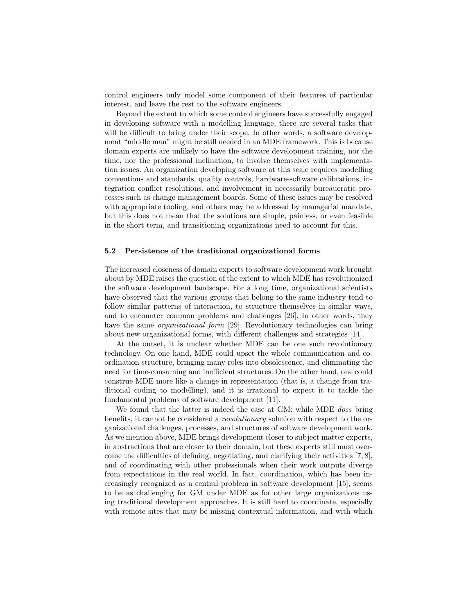control engineers only model some component of their features of particular interest, and leave the rest to the software engineers.

Beyond the extent to which some control engineers have successfully engaged in developing software with a modelling language, there are several tasks that will be difficult to bring under their scope. In other words, a software development "middle man" might be still needed in an MDE framework. This is because domain experts are unlikely to have the software development training, nor the time, nor the professional inclination, to involve themselves with implementation issues. An organization developing software at this scale requires modelling conventions and standards, quality controls, hardware-software calibrations, integration conflict resolutions, and involvement in necessarily bureaucratic processes such as change management boards. Some of these issues may be resolved with appropriate tooling, and others may be addressed by managerial mandate, but this does not mean that the solutions are simple, painless, or even feasible in the short term, and transitioning organizations need to account for this.

### 5.2 Persistence of the traditional organizational forms

The increased closeness of domain experts to software development work brought about by MDE raises the question of the extent to which MDE has revolutionized the software development landscape. For a long time, organizational scientists have observed that the various groups that belong to the same industry tend to follow similar patterns of interaction, to structure themselves in similar ways, and to encounter common problems and challenges [26]. In other words, they have the same *organizational form* [29]. Revolutionary technologies can bring about new organizational forms, with different challenges and strategies [14].

At the outset, it is unclear whether MDE can be one such revolutionary technology. On one hand, MDE could upset the whole communication and coordination structure, bringing many roles into obsolescence, and eliminating the need for time-consuming and inefficient structures. On the other hand, one could construe MDE more like a change in representation (that is, a change from traditional coding to modelling), and it is irrational to expect it to tackle the fundamental problems of software development [11].

We found that the latter is indeed the case at GM: while MDE does bring benefits, it cannot be considered a revolutionary solution with respect to the organizational challenges, processes, and structures of software development work. As we mention above, MDE brings development closer to subject matter experts, in abstractions that are closer to their domain, but these experts still must overcome the difficulties of defining, negotiating, and clarifying their activities [7, 8], and of coordinating with other professionals when their work outputs diverge from expectations in the real world. In fact, coordination, which has been increasingly recognized as a central problem in software development [15], seems to be as challenging for GM under MDE as for other large organizations using traditional development approaches. It is still hard to coordinate, especially with remote sites that may be missing contextual information, and with which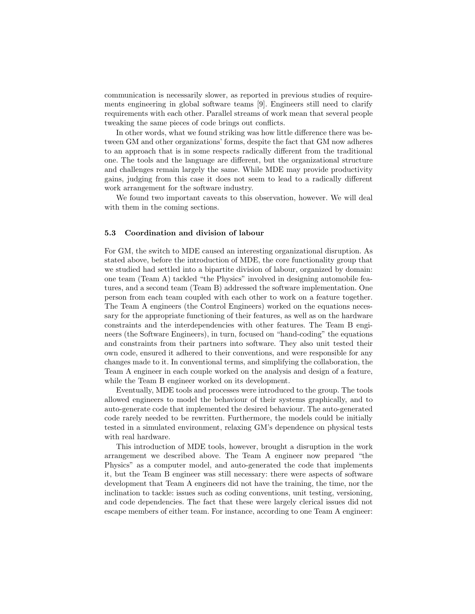communication is necessarily slower, as reported in previous studies of requirements engineering in global software teams [9]. Engineers still need to clarify requirements with each other. Parallel streams of work mean that several people tweaking the same pieces of code brings out conflicts.

In other words, what we found striking was how little difference there was between GM and other organizations' forms, despite the fact that GM now adheres to an approach that is in some respects radically different from the traditional one. The tools and the language are different, but the organizational structure and challenges remain largely the same. While MDE may provide productivity gains, judging from this case it does not seem to lead to a radically different work arrangement for the software industry.

We found two important caveats to this observation, however. We will deal with them in the coming sections.

#### 5.3 Coordination and division of labour

For GM, the switch to MDE caused an interesting organizational disruption. As stated above, before the introduction of MDE, the core functionality group that we studied had settled into a bipartite division of labour, organized by domain: one team (Team A) tackled "the Physics" involved in designing automobile features, and a second team (Team B) addressed the software implementation. One person from each team coupled with each other to work on a feature together. The Team A engineers (the Control Engineers) worked on the equations necessary for the appropriate functioning of their features, as well as on the hardware constraints and the interdependencies with other features. The Team B engineers (the Software Engineers), in turn, focused on "hand-coding" the equations and constraints from their partners into software. They also unit tested their own code, ensured it adhered to their conventions, and were responsible for any changes made to it. In conventional terms, and simplifying the collaboration, the Team A engineer in each couple worked on the analysis and design of a feature, while the Team B engineer worked on its development.

Eventually, MDE tools and processes were introduced to the group. The tools allowed engineers to model the behaviour of their systems graphically, and to auto-generate code that implemented the desired behaviour. The auto-generated code rarely needed to be rewritten. Furthermore, the models could be initially tested in a simulated environment, relaxing GM's dependence on physical tests with real hardware.

This introduction of MDE tools, however, brought a disruption in the work arrangement we described above. The Team A engineer now prepared "the Physics" as a computer model, and auto-generated the code that implements it, but the Team B engineer was still necessary: there were aspects of software development that Team A engineers did not have the training, the time, nor the inclination to tackle: issues such as coding conventions, unit testing, versioning, and code dependencies. The fact that these were largely clerical issues did not escape members of either team. For instance, according to one Team A engineer: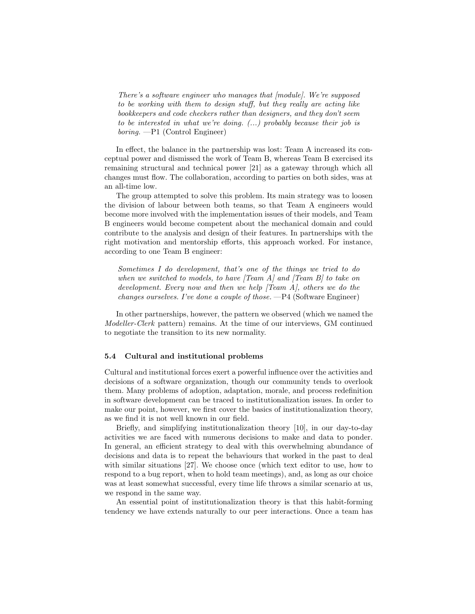There's a software engineer who manages that [module]. We're supposed to be working with them to design stuff, but they really are acting like bookkeepers and code checkers rather than designers, and they don't seem to be interested in what we're doing. (...) probably because their job is boring. —P1 (Control Engineer)

In effect, the balance in the partnership was lost: Team A increased its conceptual power and dismissed the work of Team B, whereas Team B exercised its remaining structural and technical power [21] as a gateway through which all changes must flow. The collaboration, according to parties on both sides, was at an all-time low.

The group attempted to solve this problem. Its main strategy was to loosen the division of labour between both teams, so that Team A engineers would become more involved with the implementation issues of their models, and Team B engineers would become competent about the mechanical domain and could contribute to the analysis and design of their features. In partnerships with the right motivation and mentorship efforts, this approach worked. For instance, according to one Team B engineer:

Sometimes I do development, that's one of the things we tried to do when we switched to models, to have  $[Team A]$  and  $[Team B]$  to take on development. Every now and then we help [Team A], others we do the changes ourselves. I've done a couple of those. —P4 (Software Engineer)

In other partnerships, however, the pattern we observed (which we named the Modeller-Clerk pattern) remains. At the time of our interviews, GM continued to negotiate the transition to its new normality.

### 5.4 Cultural and institutional problems

Cultural and institutional forces exert a powerful influence over the activities and decisions of a software organization, though our community tends to overlook them. Many problems of adoption, adaptation, morale, and process redefinition in software development can be traced to institutionalization issues. In order to make our point, however, we first cover the basics of institutionalization theory, as we find it is not well known in our field.

Briefly, and simplifying institutionalization theory [10], in our day-to-day activities we are faced with numerous decisions to make and data to ponder. In general, an efficient strategy to deal with this overwhelming abundance of decisions and data is to repeat the behaviours that worked in the past to deal with similar situations [27]. We choose once (which text editor to use, how to respond to a bug report, when to hold team meetings), and, as long as our choice was at least somewhat successful, every time life throws a similar scenario at us, we respond in the same way.

An essential point of institutionalization theory is that this habit-forming tendency we have extends naturally to our peer interactions. Once a team has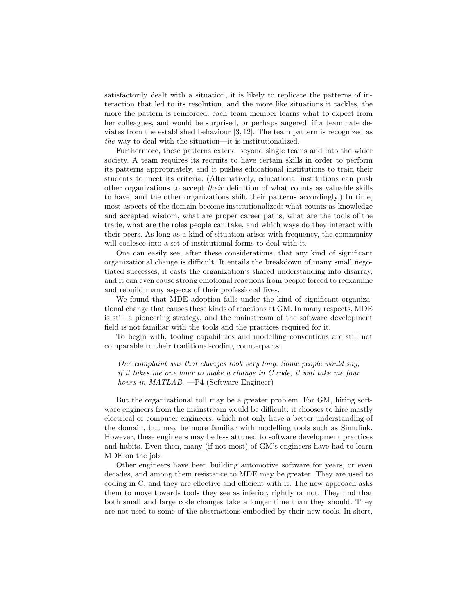satisfactorily dealt with a situation, it is likely to replicate the patterns of interaction that led to its resolution, and the more like situations it tackles, the more the pattern is reinforced: each team member learns what to expect from her colleagues, and would be surprised, or perhaps angered, if a teammate deviates from the established behaviour [3, 12]. The team pattern is recognized as the way to deal with the situation—it is institutionalized.

Furthermore, these patterns extend beyond single teams and into the wider society. A team requires its recruits to have certain skills in order to perform its patterns appropriately, and it pushes educational institutions to train their students to meet its criteria. (Alternatively, educational institutions can push other organizations to accept their definition of what counts as valuable skills to have, and the other organizations shift their patterns accordingly.) In time, most aspects of the domain become institutionalized: what counts as knowledge and accepted wisdom, what are proper career paths, what are the tools of the trade, what are the roles people can take, and which ways do they interact with their peers. As long as a kind of situation arises with frequency, the community will coalesce into a set of institutional forms to deal with it.

One can easily see, after these considerations, that any kind of significant organizational change is difficult. It entails the breakdown of many small negotiated successes, it casts the organization's shared understanding into disarray, and it can even cause strong emotional reactions from people forced to reexamine and rebuild many aspects of their professional lives.

We found that MDE adoption falls under the kind of significant organizational change that causes these kinds of reactions at GM. In many respects, MDE is still a pioneering strategy, and the mainstream of the software development field is not familiar with the tools and the practices required for it.

To begin with, tooling capabilities and modelling conventions are still not comparable to their traditional-coding counterparts:

One complaint was that changes took very long. Some people would say, if it takes me one hour to make a change in C code, it will take me four hours in MATLAB. —P4 (Software Engineer)

But the organizational toll may be a greater problem. For GM, hiring software engineers from the mainstream would be difficult; it chooses to hire mostly electrical or computer engineers, which not only have a better understanding of the domain, but may be more familiar with modelling tools such as Simulink. However, these engineers may be less attuned to software development practices and habits. Even then, many (if not most) of GM's engineers have had to learn MDE on the job.

Other engineers have been building automotive software for years, or even decades, and among them resistance to MDE may be greater. They are used to coding in C, and they are effective and efficient with it. The new approach asks them to move towards tools they see as inferior, rightly or not. They find that both small and large code changes take a longer time than they should. They are not used to some of the abstractions embodied by their new tools. In short,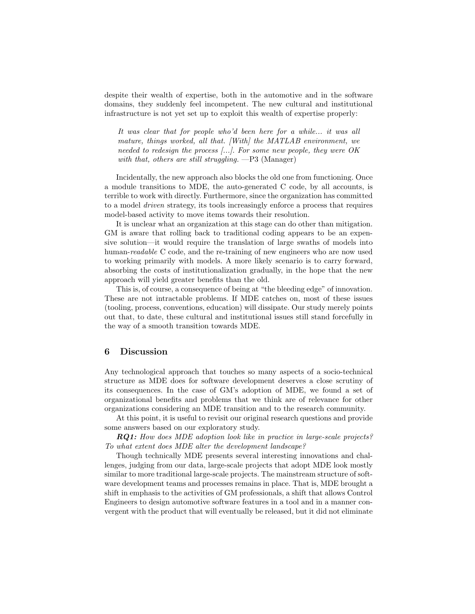despite their wealth of expertise, both in the automotive and in the software domains, they suddenly feel incompetent. The new cultural and institutional infrastructure is not yet set up to exploit this wealth of expertise properly:

It was clear that for people who'd been here for a while... it was all mature, things worked, all that. [With] the MATLAB environment, we needed to redesign the process [...]. For some new people, they were OK with that, others are still struggling.  $-P3$  (Manager)

Incidentally, the new approach also blocks the old one from functioning. Once a module transitions to MDE, the auto-generated C code, by all accounts, is terrible to work with directly. Furthermore, since the organization has committed to a model driven strategy, its tools increasingly enforce a process that requires model-based activity to move items towards their resolution.

It is unclear what an organization at this stage can do other than mitigation. GM is aware that rolling back to traditional coding appears to be an expensive solution—it would require the translation of large swaths of models into human-readable C code, and the re-training of new engineers who are now used to working primarily with models. A more likely scenario is to carry forward, absorbing the costs of institutionalization gradually, in the hope that the new approach will yield greater benefits than the old.

This is, of course, a consequence of being at "the bleeding edge" of innovation. These are not intractable problems. If MDE catches on, most of these issues (tooling, process, conventions, education) will dissipate. Our study merely points out that, to date, these cultural and institutional issues still stand forcefully in the way of a smooth transition towards MDE.

### 6 Discussion

Any technological approach that touches so many aspects of a socio-technical structure as MDE does for software development deserves a close scrutiny of its consequences. In the case of GM's adoption of MDE, we found a set of organizational benefits and problems that we think are of relevance for other organizations considering an MDE transition and to the research community.

At this point, it is useful to revisit our original research questions and provide some answers based on our exploratory study.

RQ1: How does MDE adoption look like in practice in large-scale projects? To what extent does MDE alter the development landscape?

Though technically MDE presents several interesting innovations and challenges, judging from our data, large-scale projects that adopt MDE look mostly similar to more traditional large-scale projects. The mainstream structure of software development teams and processes remains in place. That is, MDE brought a shift in emphasis to the activities of GM professionals, a shift that allows Control Engineers to design automotive software features in a tool and in a manner convergent with the product that will eventually be released, but it did not eliminate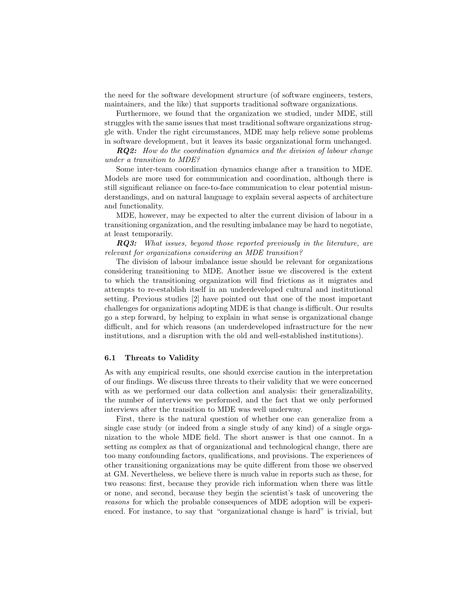the need for the software development structure (of software engineers, testers, maintainers, and the like) that supports traditional software organizations.

Furthermore, we found that the organization we studied, under MDE, still struggles with the same issues that most traditional software organizations struggle with. Under the right circumstances, MDE may help relieve some problems in software development, but it leaves its basic organizational form unchanged.

RQ2: How do the coordination dynamics and the division of labour change under a transition to MDE?

Some inter-team coordination dynamics change after a transition to MDE. Models are more used for communication and coordination, although there is still significant reliance on face-to-face communication to clear potential misunderstandings, and on natural language to explain several aspects of architecture and functionality.

MDE, however, may be expected to alter the current division of labour in a transitioning organization, and the resulting imbalance may be hard to negotiate, at least temporarily.

**RQ3:** What issues, beyond those reported previously in the literature, are relevant for organizations considering an MDE transition?

The division of labour imbalance issue should be relevant for organizations considering transitioning to MDE. Another issue we discovered is the extent to which the transitioning organization will find frictions as it migrates and attempts to re-establish itself in an underdeveloped cultural and institutional setting. Previous studies [2] have pointed out that one of the most important challenges for organizations adopting MDE is that change is difficult. Our results go a step forward, by helping to explain in what sense is organizational change difficult, and for which reasons (an underdeveloped infrastructure for the new institutions, and a disruption with the old and well-established institutions).

### 6.1 Threats to Validity

As with any empirical results, one should exercise caution in the interpretation of our findings. We discuss three threats to their validity that we were concerned with as we performed our data collection and analysis: their generalizability, the number of interviews we performed, and the fact that we only performed interviews after the transition to MDE was well underway.

First, there is the natural question of whether one can generalize from a single case study (or indeed from a single study of any kind) of a single organization to the whole MDE field. The short answer is that one cannot. In a setting as complex as that of organizational and technological change, there are too many confounding factors, qualifications, and provisions. The experiences of other transitioning organizations may be quite different from those we observed at GM. Nevertheless, we believe there is much value in reports such as these, for two reasons: first, because they provide rich information when there was little or none, and second, because they begin the scientist's task of uncovering the reasons for which the probable consequences of MDE adoption will be experienced. For instance, to say that "organizational change is hard" is trivial, but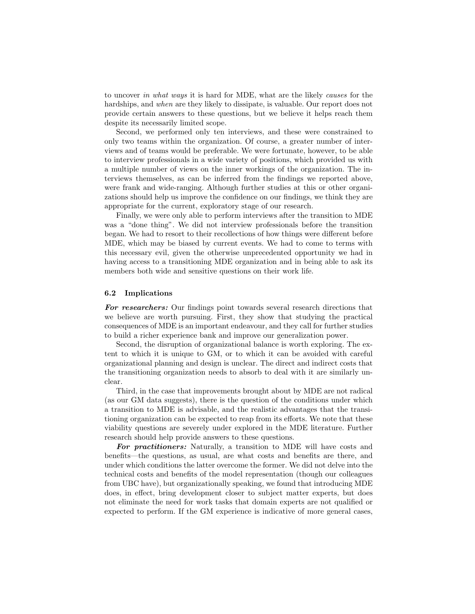to uncover in what ways it is hard for MDE, what are the likely causes for the hardships, and when are they likely to dissipate, is valuable. Our report does not provide certain answers to these questions, but we believe it helps reach them despite its necessarily limited scope.

Second, we performed only ten interviews, and these were constrained to only two teams within the organization. Of course, a greater number of interviews and of teams would be preferable. We were fortunate, however, to be able to interview professionals in a wide variety of positions, which provided us with a multiple number of views on the inner workings of the organization. The interviews themselves, as can be inferred from the findings we reported above, were frank and wide-ranging. Although further studies at this or other organizations should help us improve the confidence on our findings, we think they are appropriate for the current, exploratory stage of our research.

Finally, we were only able to perform interviews after the transition to MDE was a "done thing". We did not interview professionals before the transition began. We had to resort to their recollections of how things were different before MDE, which may be biased by current events. We had to come to terms with this necessary evil, given the otherwise unprecedented opportunity we had in having access to a transitioning MDE organization and in being able to ask its members both wide and sensitive questions on their work life.

### 6.2 Implications

For researchers: Our findings point towards several research directions that we believe are worth pursuing. First, they show that studying the practical consequences of MDE is an important endeavour, and they call for further studies to build a richer experience bank and improve our generalization power.

Second, the disruption of organizational balance is worth exploring. The extent to which it is unique to GM, or to which it can be avoided with careful organizational planning and design is unclear. The direct and indirect costs that the transitioning organization needs to absorb to deal with it are similarly unclear.

Third, in the case that improvements brought about by MDE are not radical (as our GM data suggests), there is the question of the conditions under which a transition to MDE is advisable, and the realistic advantages that the transitioning organization can be expected to reap from its efforts. We note that these viability questions are severely under explored in the MDE literature. Further research should help provide answers to these questions.

For practitioners: Naturally, a transition to MDE will have costs and benefits—the questions, as usual, are what costs and benefits are there, and under which conditions the latter overcome the former. We did not delve into the technical costs and benefits of the model representation (though our colleagues from UBC have), but organizationally speaking, we found that introducing MDE does, in effect, bring development closer to subject matter experts, but does not eliminate the need for work tasks that domain experts are not qualified or expected to perform. If the GM experience is indicative of more general cases,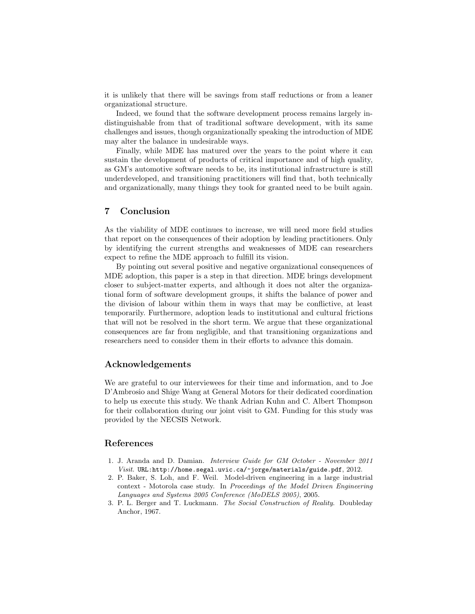it is unlikely that there will be savings from staff reductions or from a leaner organizational structure.

Indeed, we found that the software development process remains largely indistinguishable from that of traditional software development, with its same challenges and issues, though organizationally speaking the introduction of MDE may alter the balance in undesirable ways.

Finally, while MDE has matured over the years to the point where it can sustain the development of products of critical importance and of high quality, as GM's automotive software needs to be, its institutional infrastructure is still underdeveloped, and transitioning practitioners will find that, both technically and organizationally, many things they took for granted need to be built again.

# 7 Conclusion

As the viability of MDE continues to increase, we will need more field studies that report on the consequences of their adoption by leading practitioners. Only by identifying the current strengths and weaknesses of MDE can researchers expect to refine the MDE approach to fulfill its vision.

By pointing out several positive and negative organizational consequences of MDE adoption, this paper is a step in that direction. MDE brings development closer to subject-matter experts, and although it does not alter the organizational form of software development groups, it shifts the balance of power and the division of labour within them in ways that may be conflictive, at least temporarily. Furthermore, adoption leads to institutional and cultural frictions that will not be resolved in the short term. We argue that these organizational consequences are far from negligible, and that transitioning organizations and researchers need to consider them in their efforts to advance this domain.

# Acknowledgements

We are grateful to our interviewees for their time and information, and to Joe D'Ambrosio and Shige Wang at General Motors for their dedicated coordination to help us execute this study. We thank Adrian Kuhn and C. Albert Thompson for their collaboration during our joint visit to GM. Funding for this study was provided by the NECSIS Network.

### References

- 1. J. Aranda and D. Damian. Interview Guide for GM October November 2011 Visit. URL:http://home.segal.uvic.ca/~jorge/materials/guide.pdf, 2012.
- 2. P. Baker, S. Loh, and F. Weil. Model-driven engineering in a large industrial context - Motorola case study. In Proceedings of the Model Driven Engineering Languages and Systems 2005 Conference (MoDELS 2005), 2005.
- 3. P. L. Berger and T. Luckmann. The Social Construction of Reality. Doubleday Anchor, 1967.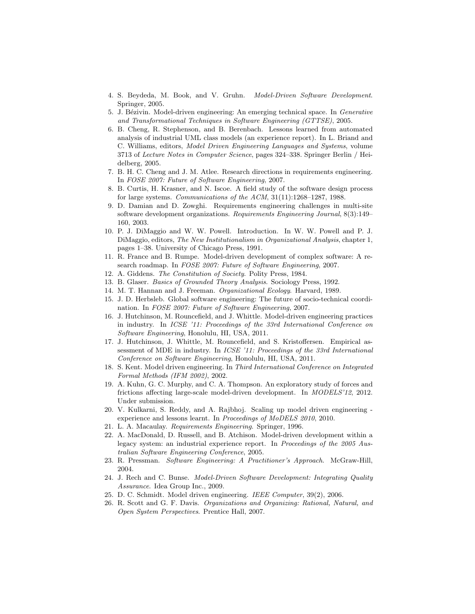- 4. S. Beydeda, M. Book, and V. Gruhn. Model-Driven Software Development. Springer, 2005.
- 5. J. Bézivin. Model-driven engineering: An emerging technical space. In *Generative* and Transformational Techniques in Software Engineering (GTTSE), 2005.
- 6. B. Cheng, R. Stephenson, and B. Berenbach. Lessons learned from automated analysis of industrial UML class models (an experience report). In L. Briand and C. Williams, editors, Model Driven Engineering Languages and Systems, volume 3713 of Lecture Notes in Computer Science, pages 324–338. Springer Berlin / Heidelberg, 2005.
- 7. B. H. C. Cheng and J. M. Atlee. Research directions in requirements engineering. In FOSE 2007: Future of Software Engineering, 2007.
- 8. B. Curtis, H. Krasner, and N. Iscoe. A field study of the software design process for large systems. Communications of the ACM, 31(11):1268–1287, 1988.
- 9. D. Damian and D. Zowghi. Requirements engineering challenges in multi-site software development organizations. Requirements Engineering Journal, 8(3):149– 160, 2003.
- 10. P. J. DiMaggio and W. W. Powell. Introduction. In W. W. Powell and P. J. DiMaggio, editors, The New Institutionalism in Organizational Analysis, chapter 1, pages 1–38. University of Chicago Press, 1991.
- 11. R. France and B. Rumpe. Model-driven development of complex software: A research roadmap. In FOSE 2007: Future of Software Engineering, 2007.
- 12. A. Giddens. The Constitution of Society. Polity Press, 1984.
- 13. B. Glaser. Basics of Grounded Theory Analysis. Sociology Press, 1992.
- 14. M. T. Hannan and J. Freeman. Organizational Ecology. Harvard, 1989.
- 15. J. D. Herbsleb. Global software engineering: The future of socio-technical coordination. In FOSE 2007: Future of Software Engineering, 2007.
- 16. J. Hutchinson, M. Rouncefield, and J. Whittle. Model-driven engineering practices in industry. In ICSE '11: Proceedings of the 33rd International Conference on Software Engineering, Honolulu, HI, USA, 2011.
- 17. J. Hutchinson, J. Whittle, M. Rouncefield, and S. Kristoffersen. Empirical assessment of MDE in industry. In ICSE '11: Proceedings of the 33rd International Conference on Software Engineering, Honolulu, HI, USA, 2011.
- 18. S. Kent. Model driven engineering. In Third International Conference on Integrated Formal Methods (IFM 2002), 2002.
- 19. A. Kuhn, G. C. Murphy, and C. A. Thompson. An exploratory study of forces and frictions affecting large-scale model-driven development. In MODELS'12, 2012. Under submission.
- 20. V. Kulkarni, S. Reddy, and A. Rajbhoj. Scaling up model driven engineering experience and lessons learnt. In Proceedings of MoDELS 2010, 2010.
- 21. L. A. Macaulay. Requirements Engineering. Springer, 1996.
- 22. A. MacDonald, D. Russell, and B. Atchison. Model-driven development within a legacy system: an industrial experience report. In Proceedings of the 2005 Australian Software Engineering Conference, 2005.
- 23. R. Pressman. Software Engineering: A Practitioner's Approach. McGraw-Hill, 2004.
- 24. J. Rech and C. Bunse. Model-Driven Software Development: Integrating Quality Assurance. Idea Group Inc., 2009.
- 25. D. C. Schmidt. Model driven engineering. IEEE Computer, 39(2), 2006.
- 26. R. Scott and G. F. Davis. Organizations and Organizing: Rational, Natural, and Open System Perspectives. Prentice Hall, 2007.